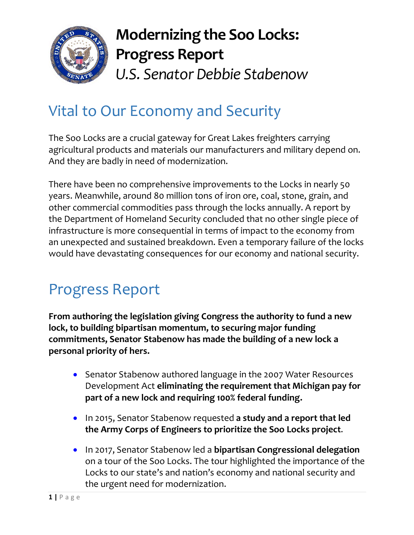

## **Modernizing the Soo Locks: Progress Report** *U.S. Senator Debbie Stabenow*

## Vital to Our Economy and Security

The Soo Locks are a crucial gateway for Great Lakes freighters carrying agricultural products and materials our manufacturers and military depend on. And they are badly in need of modernization.

There have been no comprehensive improvements to the Locks in nearly 50 years. Meanwhile, around 80 million tons of iron ore, coal, stone, grain, and other commercial commodities pass through the locks annually. A report by the Department of Homeland Security concluded that no other single piece of infrastructure is more consequential in terms of impact to the economy from an unexpected and sustained breakdown. Even a temporary failure of the locks would have devastating consequences for our economy and national security.

## Progress Report

**From authoring the legislation giving Congress the authority to fund a new lock, to building bipartisan momentum, to securing major funding commitments, Senator Stabenow has made the building of a new lock a personal priority of hers.** 

- Senator Stabenow authored language in the 2007 Water Resources Development Act **eliminating the requirement that Michigan pay for part of a new lock and requiring 100% federal funding.**
- In 2015, Senator Stabenow requested **a study and a report that led the Army Corps of Engineers to prioritize the Soo Locks project**.
- In 2017, Senator Stabenow led a **bipartisan Congressional delegation** on a tour of the Soo Locks. The tour highlighted the importance of the Locks to our state's and nation's economy and national security and the urgent need for modernization.